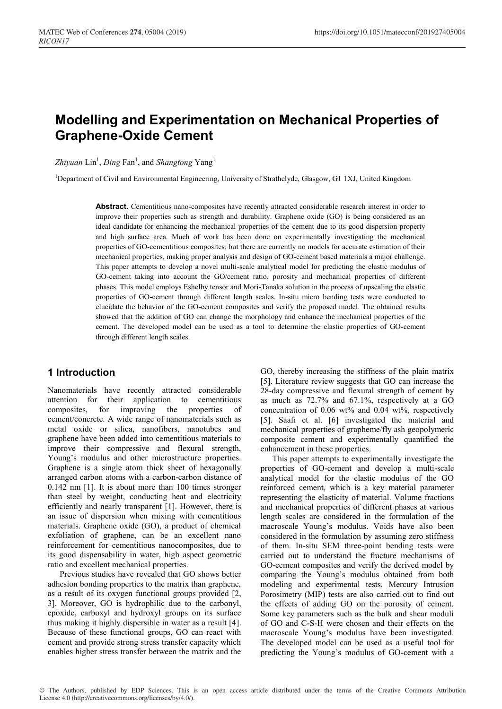# **Modelling and Experimentation on Mechanical Properties of Graphene-Oxide Cement**

Zhiyuan Lin<sup>1</sup>, Ding Fan<sup>1</sup>, and *Shangtong* Yang<sup>1</sup>

<sup>1</sup>Department of Civil and Environmental Engineering, University of Strathclyde, Glasgow, G1 1XJ, United Kingdom

Abstract. Cementitious nano-composites have recently attracted considerable research interest in order to improve their properties such as strength and durability. Graphene oxide (GO) is being considered as an ideal candidate for enhancing the mechanical properties of the cement due to its good dispersion property and high surface area. Much of work has been done on experimentally investigating the mechanical properties of GO-cementitious composites; but there are currently no models for accurate estimation of their mechanical properties, making proper analysis and design of GO-cement based materials a major challenge. This paper attempts to develop a novel multi-scale analytical model for predicting the elastic modulus of GO-cement taking into account the GO/cement ratio, porosity and mechanical properties of different phases. This model employs Eshelby tensor and Mori-Tanaka solution in the process of upscaling the elastic properties of GO-cement through different length scales. In-situ micro bending tests were conducted to elucidate the behavior of the GO-cement composites and verify the proposed model. The obtained results showed that the addition of GO can change the morphology and enhance the mechanical properties of the cement. The developed model can be used as a tool to determine the elastic properties of GO-cement through different length scales.

## **1 Introduction**

Nanomaterials have recently attracted considerable attention for their application to cementitious composites, for improving the properties of cement/concrete. A wide range of nanomaterials such as metal oxide or silica, nanofibers, nanotubes and graphene have been added into cementitious materials to improve their compressive and flexural strength, Young's modulus and other microstructure properties. Graphene is a single atom thick sheet of hexagonally arranged carbon atoms with a carbon-carbon distance of 0.142 nm [1]. It is about more than 100 times stronger than steel by weight, conducting heat and electricity efficiently and nearly transparent [1]. However, there is an issue of dispersion when mixing with cementitious materials. Graphene oxide (GO), a product of chemical exfoliation of graphene, can be an excellent nano reinforcement for cementitious nanocomposites, due to its good dispensability in water, high aspect geometric ratio and excellent mechanical properties.

Previous studies have revealed that GO shows better adhesion bonding properties to the matrix than graphene, as a result of its oxygen functional groups provided [2, 3]. Moreover, GO is hydrophilic due to the carbonyl, epoxide, carboxyl and hydroxyl groups on its surface thus making it highly dispersible in water as a result [4]. Because of these functional groups, GO can react with cement and provide strong stress transfer capacity which enables higher stress transfer between the matrix and the

GO, thereby increasing the stiffness of the plain matrix [5]. Literature review suggests that GO can increase the 28-day compressive and flexural strength of cement by as much as 72.7% and 67.1%, respectively at a GO concentration of  $0.06 \text{ wt\%}$  and  $0.04 \text{ wt\%}$ , respectively [5]. Saafi et al. [6] investigated the material and mechanical properties of grapheme/fly ash geopolymeric composite cement and experimentally quantified the enhancement in these properties.

This paper attempts to experimentally investigate the properties of GO-cement and develop a multi-scale analytical model for the elastic modulus of the GO reinforced cement, which is a key material parameter representing the elasticity of material. Volume fractions and mechanical properties of different phases at various length scales are considered in the formulation of the macroscale Young's modulus. Voids have also been considered in the formulation by assuming zero stiffness of them. In-situ SEM three-point bending tests were carried out to understand the fracture mechanisms of GO-cement composites and verify the derived model by comparing the Young's modulus obtained from both modeling and experimental tests. Mercury Intrusion Porosimetry (MIP) tests are also carried out to find out the effects of adding GO on the porosity of cement. Some key parameters such as the bulk and shear moduli of GO and C-S-H were chosen and their effects on the macroscale Young's modulus have been investigated. The developed model can be used as a useful tool for predicting the Young's modulus of GO-cement with a

© The Authors, published by EDP Sciences. This is an open access article distributed under the terms of the Creative Commons Attribution License 4.0 (http://creativecommons.org/licenses/by/4.0/).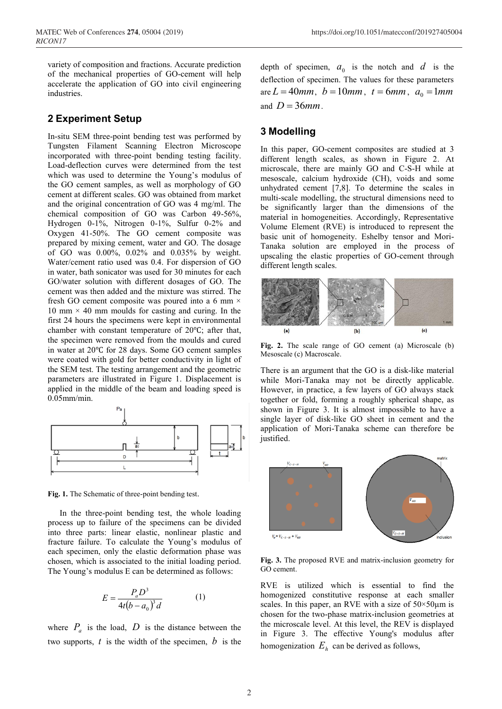variety of composition and fractions. Accurate prediction of the mechanical properties of GO-cement will help accelerate the application of GO into civil engineering industries.

## **2 Experiment Setup**

In-situ SEM three-point bending test was performed by Tungsten Filament Scanning Electron Microscope incorporated with three-point bending testing facility. Load-deflection curves were determined from the test which was used to determine the Young's modulus of the GO cement samples, as well as morphology of GO cement at different scales. GO was obtained from market and the original concentration of GO was 4 mg/ml. The chemical composition of GO was Carbon 49-56%, Hydrogen 0-1%, Nitrogen 0-1%, Sulfur 0-2% and Oxygen 41-50%. The GO cement composite was prepared by mixing cement, water and GO. The dosage of GO was 0.00%, 0.02% and 0.035% by weight. Water/cement ratio used was 0.4. For dispersion of GO in water, bath sonicator was used for 30 minutes for each GO/water solution with different dosages of GO. The cement was then added and the mixture was stirred. The fresh GO cement composite was poured into a 6 mm  $\times$ 10 mm  $\times$  40 mm moulds for casting and curing. In the first 24 hours the specimens were kept in environmental chamber with constant temperature of 20℃; after that, the specimen were removed from the moulds and cured in water at 20℃ for 28 days. Some GO cement samples were coated with gold for better conductivity in light of the SEM test. The testing arrangement and the geometric parameters are illustrated in Figure 1. Displacement is applied in the middle of the beam and loading speed is 0.05mm/min.



**Fig. 1.** The Schematic of three-point bending test.

In the three-point bending test, the whole loading process up to failure of the specimens can be divided into three parts: linear elastic, nonlinear plastic and fracture failure. To calculate the Young's modulus of each specimen, only the elastic deformation phase was chosen, which is associated to the initial loading period. The Young's modulus E can be determined as follows:

$$
E = \frac{P_a D^3}{4t(b - a_0)^3 d}
$$
 (1)

where  $P_a$  is the load,  $D$  is the distance between the two supports, *t* is the width of the specimen, *b* is the depth of specimen,  $a_0$  is the notch and  $d$  is the deflection of specimen. The values for these parameters  $\alpha_0 = L = 40$ *mm*,  $b = 10$ *mm*,  $t = 6$ *mm*,  $a_0 = 1$ *mm* and  $D = 36$ *mm*.

## **3 Modelling**

In this paper, GO-cement composites are studied at 3 different length scales, as shown in Figure 2. At microscale, there are mainly GO and C-S-H while at mesoscale, calcium hydroxide (CH), voids and some unhydrated cement [7,8]. To determine the scales in multi-scale modelling, the structural dimensions need to be significantly larger than the dimensions of the material in homogeneities. Accordingly, Representative Volume Element (RVE) is introduced to represent the basic unit of homogeneity. Eshelby tensor and Mori-Tanaka solution are employed in the process of upscaling the elastic properties of GO-cement through different length scales.



**Fig. 2.** The scale range of GO cement (a) Microscale (b) Mesoscale (c) Macroscale.

There is an argument that the GO is a disk-like material while Mori-Tanaka may not be directly applicable. However, in practice, a few layers of GO always stack together or fold, forming a roughly spherical shape, as shown in Figure 3. It is almost impossible to have a single layer of disk-like GO sheet in cement and the application of Mori-Tanaka scheme can therefore be justified.



**Fig. 3.** The proposed RVE and matrix-inclusion geometry for GO cement.

RVE is utilized which is essential to find the homogenized constitutive response at each smaller scales. In this paper, an RVE with a size of  $50 \times 50 \mu m$  is chosen for the two-phase matrix-inclusion geometries at the microscale level. At this level, the REV is displayed in Figure 3. The effective Young's modulus after homogenization  $E<sub>h</sub>$  can be derived as follows,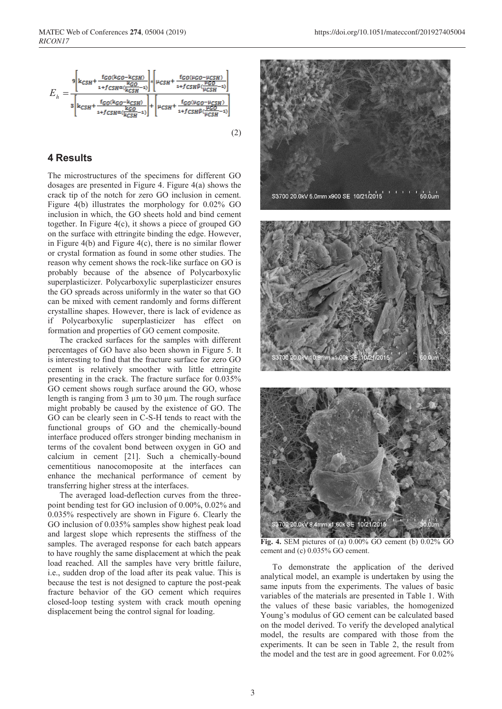

#### **4 Results**

The microstructures of the specimens for different GO dosages are presented in Figure 4. Figure 4(a) shows the crack tip of the notch for zero GO inclusion in cement. Figure 4(b) illustrates the morphology for 0.02% GO inclusion in which, the GO sheets hold and bind cement together. In Figure 4(c), it shows a piece of grouped GO on the surface with ettringite binding the edge. However, in Figure  $4(b)$  and Figure  $4(c)$ , there is no similar flower or crystal formation as found in some other studies. The reason why cement shows the rock-like surface on GO is probably because of the absence of Polycarboxylic superplasticizer. Polycarboxylic superplasticizer ensures the GO spreads across uniformly in the water so that GO can be mixed with cement randomly and forms different crystalline shapes. However, there is lack of evidence as if Polycarboxylic superplasticizer has effect on formation and properties of GO cement composite.

The cracked surfaces for the samples with different percentages of GO have also been shown in Figure 5. It is interesting to find that the fracture surface for zero GO cement is relatively smoother with little ettringite presenting in the crack. The fracture surface for 0.035% GO cement shows rough surface around the GO, whose length is ranging from  $3 \mu$ m to  $30 \mu$ m. The rough surface might probably be caused by the existence of GO. The GO can be clearly seen in C-S-H tends to react with the functional groups of GO and the chemically-bound interface produced offers stronger binding mechanism in terms of the covalent bond between oxygen in GO and calcium in cement [21]. Such a chemically-bound cementitious nanocomoposite at the interfaces can enhance the mechanical performance of cement by transferring higher stress at the interfaces.

The averaged load-deflection curves from the threepoint bending test for GO inclusion of 0.00%, 0.02% and 0.035% respectively are shown in Figure 6. Clearly the GO inclusion of 0.035% samples show highest peak load and largest slope which represents the stiffness of the samples. The averaged response for each batch appears to have roughly the same displacement at which the peak load reached. All the samples have very brittle failure, i.e., sudden drop of the load after its peak value. This is because the test is not designed to capture the post-peak fracture behavior of the GO cement which requires closed-loop testing system with crack mouth opening displacement being the control signal for loading.







**Fig. 4.** SEM pictures of (a) 0.00% GO cement (b) 0.02% GO cement and (c) 0.035% GO cement.

To demonstrate the application of the derived analytical model, an example is undertaken by using the same inputs from the experiments. The values of basic variables of the materials are presented in Table 1. With the values of these basic variables, the homogenized Young's modulus of GO cement can be calculated based on the model derived. To verify the developed analytical model, the results are compared with those from the experiments. It can be seen in Table 2, the result from the model and the test are in good agreement. For 0.02%